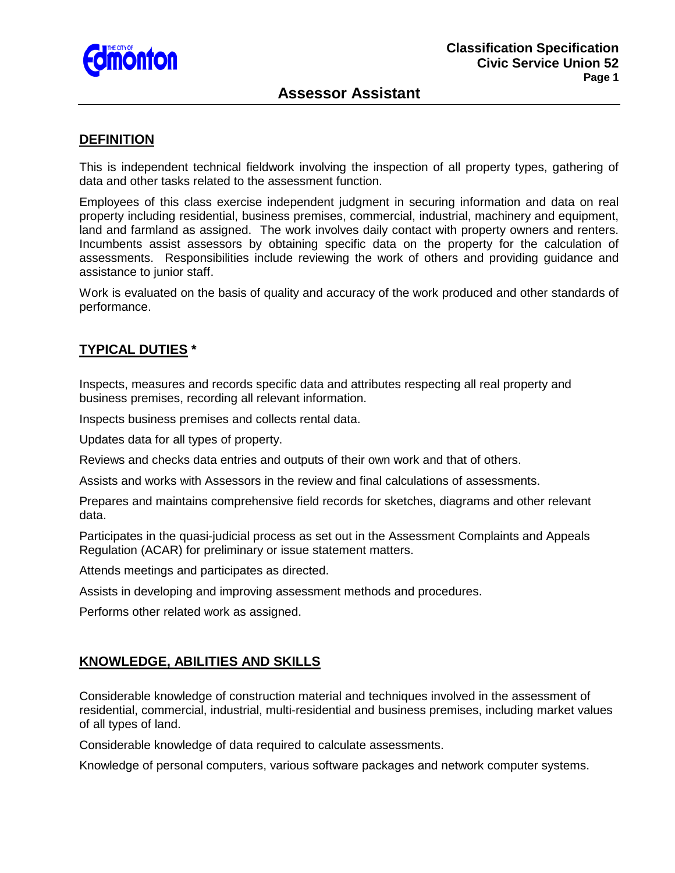

## **Assessor Assistant**

### **DEFINITION**

This is independent technical fieldwork involving the inspection of all property types, gathering of data and other tasks related to the assessment function.

Employees of this class exercise independent judgment in securing information and data on real property including residential, business premises, commercial, industrial, machinery and equipment, land and farmland as assigned. The work involves daily contact with property owners and renters. Incumbents assist assessors by obtaining specific data on the property for the calculation of assessments. Responsibilities include reviewing the work of others and providing guidance and assistance to junior staff.

Work is evaluated on the basis of quality and accuracy of the work produced and other standards of performance.

## **TYPICAL DUTIES \***

Inspects, measures and records specific data and attributes respecting all real property and business premises, recording all relevant information.

Inspects business premises and collects rental data.

Updates data for all types of property.

Reviews and checks data entries and outputs of their own work and that of others.

Assists and works with Assessors in the review and final calculations of assessments.

Prepares and maintains comprehensive field records for sketches, diagrams and other relevant data.

Participates in the quasi-judicial process as set out in the Assessment Complaints and Appeals Regulation (ACAR) for preliminary or issue statement matters.

Attends meetings and participates as directed.

Assists in developing and improving assessment methods and procedures.

Performs other related work as assigned.

#### **KNOWLEDGE, ABILITIES AND SKILLS**

Considerable knowledge of construction material and techniques involved in the assessment of residential, commercial, industrial, multi-residential and business premises, including market values of all types of land.

Considerable knowledge of data required to calculate assessments.

Knowledge of personal computers, various software packages and network computer systems.